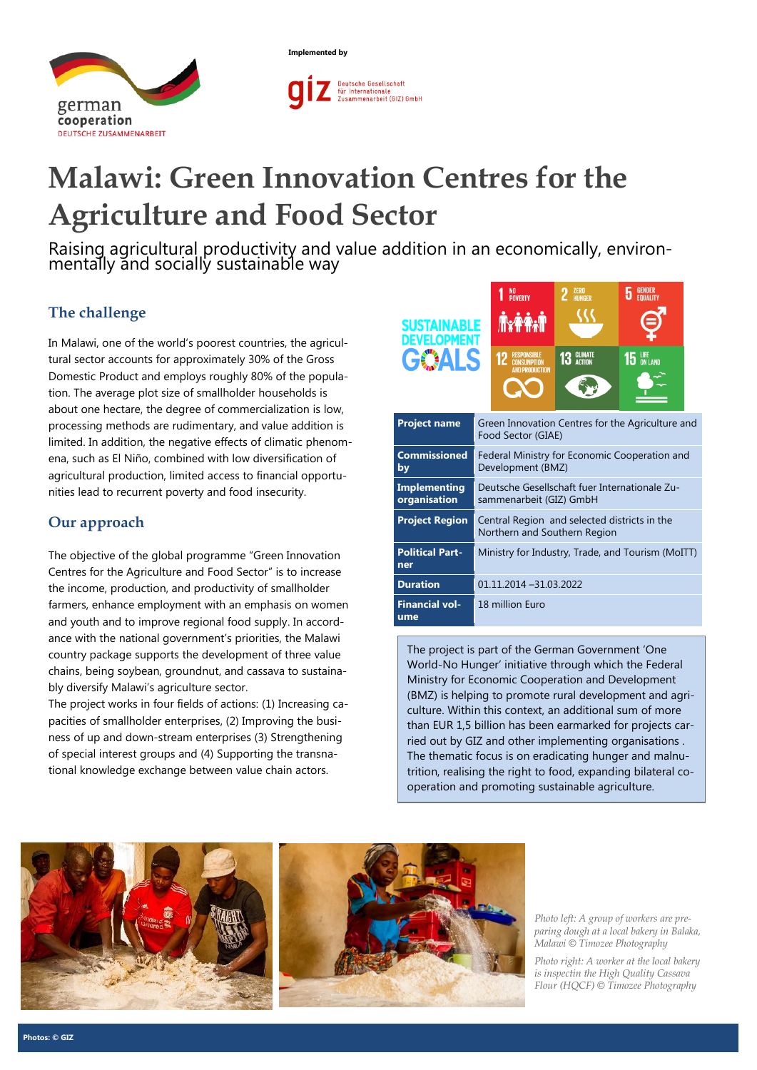



# **Malawi: Green Innovation Centres for the Agriculture and Food Sector**

Raising agricultural productivity and value addition in an economically, environmentally and socially sustainable way

# **The challenge**

In Malawi, one of the world's poorest countries, the agricultural sector accounts for approximately 30% of the Gross Domestic Product and employs roughly 80% of the population. The average plot size of smallholder households is about one hectare, the degree of commercialization is low, processing methods are rudimentary, and value addition is limited. In addition, the negative effects of climatic phenomena, such as El Niño, combined with low diversification of agricultural production, limited access to financial opportunities lead to recurrent poverty and food insecurity.

## **Our approach**

The objective of the global programme "Green Innovation Centres for the Agriculture and Food Sector" is to increase the income, production, and productivity of smallholder farmers, enhance employment with an emphasis on women and youth and to improve regional food supply. In accordance with the national government's priorities, the Malawi country package supports the development of three value chains, being soybean, groundnut, and cassava to sustainably diversify Malawi's agriculture sector.

The project works in four fields of actions: (1) Increasing capacities of smallholder enterprises, (2) Improving the business of up and down-stream enterprises (3) Strengthening of special interest groups and (4) Supporting the transnational knowledge exchange between value chain actors.

| <b>SUSTAINABLE</b><br><b>DEVELOPMENT</b><br><b>GOALS</b> |                                                                              | <b>POVERTY</b><br><b>Axtra</b><br><b>RESPONSIBLE</b><br><b>CONSUMPTION</b><br>ANN PRODUCTION | 7FRN<br><b>HIINGER</b><br>13 GLIMATE | $15$ LIFE |
|----------------------------------------------------------|------------------------------------------------------------------------------|----------------------------------------------------------------------------------------------|--------------------------------------|-----------|
|                                                          |                                                                              |                                                                                              |                                      |           |
| <b>Project name</b>                                      | Green Innovation Centres for the Agriculture and<br>Food Sector (GIAE)       |                                                                                              |                                      |           |
| <b>Commissioned</b><br>by                                | Federal Ministry for Economic Cooperation and<br>Development (BMZ)           |                                                                                              |                                      |           |
| <b>Implementing</b><br>organisation                      | Deutsche Gesellschaft fuer Internationale Zu-<br>sammenarbeit (GIZ) GmbH     |                                                                                              |                                      |           |
| <b>Project Region</b>                                    | Central Region and selected districts in the<br>Northern and Southern Region |                                                                                              |                                      |           |
| <b>Political Part-</b><br>ner                            | Ministry for Industry, Trade, and Tourism (MoITT)                            |                                                                                              |                                      |           |
| <b>Duration</b>                                          | 01.11.2014 -31.03.2022                                                       |                                                                                              |                                      |           |
| <b>Financial vol-</b><br>ume                             | 18 million Euro                                                              |                                                                                              |                                      |           |

The project is part of the German Government 'One World-No Hunger' initiative through which the Federal Ministry for Economic Cooperation and Development (BMZ) is helping to promote rural development and agriculture. Within this context, an additional sum of more than EUR 1,5 billion has been earmarked for projects carried out by GIZ and other implementing organisations . The thematic focus is on eradicating hunger and malnutrition, realising the right to food, expanding bilateral cooperation and promoting sustainable agriculture.





*Photo left: A group of workers are preparing dough at a local bakery in Balaka, Malawi © Timozee Photography*

*Photo right: A worker at the local bakery is inspectin the High Quality Cassava Flour (HQCF) © Timozee Photography*